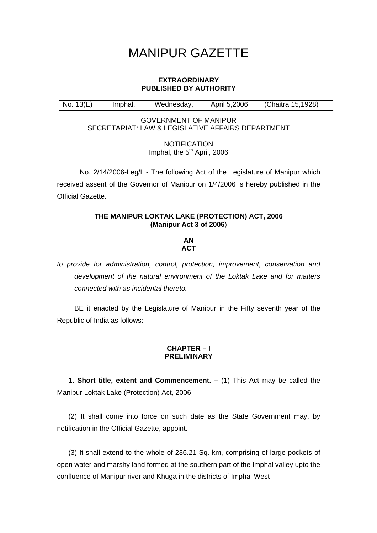# MANIPUR GAZETTE

## **EXTRAORDINARY PUBLISHED BY AUTHORITY**

No. 13(E) Imphal, Wednesday, April 5,2006 (Chaitra 15,1928)

GOVERNMENT OF MANIPUR SECRETARIAT: LAW & LEGISLATIVE AFFAIRS DEPARTMENT

> **NOTIFICATION** Imphal, the  $5<sup>th</sup>$  April, 2006

No. 2/14/2006-Leg/L.- The following Act of the Legislature of Manipur which received assent of the Governor of Manipur on 1/4/2006 is hereby published in the Official Gazette.

## **THE MANIPUR LOKTAK LAKE (PROTECTION) ACT, 2006 (Manipur Act 3 of 2006**)

#### **AN ACT**

*to provide for administration, control, protection, improvement, conservation and development of the natural environment of the Loktak Lake and for matters connected with as incidental thereto.* 

BE it enacted by the Legislature of Manipur in the Fifty seventh year of the Republic of India as follows:-

# **CHAPTER – I PRELIMINARY**

**1. Short title, extent and Commencement. –** (1) This Act may be called the Manipur Loktak Lake (Protection) Act, 2006

(2) It shall come into force on such date as the State Government may, by notification in the Official Gazette, appoint.

(3) It shall extend to the whole of 236.21 Sq. km, comprising of large pockets of open water and marshy land formed at the southern part of the Imphal valley upto the confluence of Manipur river and Khuga in the districts of Imphal West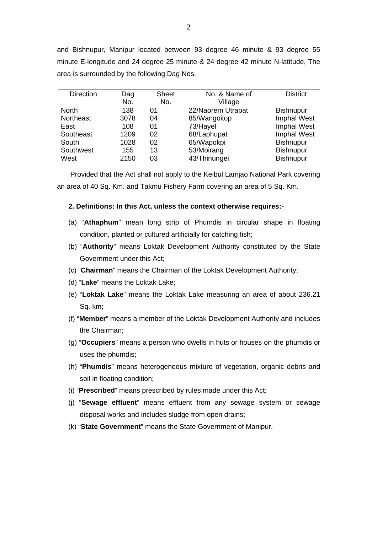and Bishnupur, Manipur located between 93 degree 46 minute & 93 degree 55 minute E-longitude and 24 degree 25 minute & 24 degree 42 minute N-latitude, The area is surrounded by the following Dag Nos.

| <b>Direction</b> | Dag  | <b>Sheet</b> | No. & Name of     | <b>District</b>  |
|------------------|------|--------------|-------------------|------------------|
|                  | No.  | No.          | Village           |                  |
| <b>North</b>     | 138  | 01           | 22/Naorem Utrapat | <b>Bishnupur</b> |
| Northeast        | 3078 | 04           | 85/Wangoitop      | Imphal West      |
| East             | 108  | 01           | 73/Hayel          | Imphal West      |
| Southeast        | 1209 | 02           | 68/Laphupat       | Imphal West      |
| South            | 1028 | 02           | 65/Wapokpi        | <b>Bishnupur</b> |
| Southwest        | 155  | 13           | 53/Moirang        | <b>Bishnupur</b> |
| West             | 2150 | 03           | 43/Thinungei      | <b>Bishnupur</b> |

 Provided that the Act shall not apply to the Keibul Lamjao National Park covering an area of 40 Sq. Km. and Takmu Fishery Farm covering an area of 5 Sq. Km.

## **2. Definitions: In this Act, unless the context otherwise requires:-**

- (a) "**Athaphum**" mean long strip of Phumdis in circular shape in floating condition, planted or cultured artificially for catching fish;
- (b) "**Authority**" means Loktak Development Authority constituted by the State Government under this Act;
- (c) "**Chairman**" means the Chairman of the Loktak Development Authority;
- (d) "**Lake**" means the Loktak Lake;
- (e) "**Loktak Lake**" means the Loktak Lake measuring an area of about 236.21 Sq. km;
- (f) "**Member**" means a member of the Loktak Development Authority and includes the Chairman;
- (g) "**Occupiers**" means a person who dwells in huts or houses on the phumdis or uses the phumdis;
- (h) "**Phumdis**" means heterogeneous mixture of vegetation, organic debris and soil in floating condition;
- (i) "**Prescribed**" means prescribed by rules made under this Act;
- (j) "**Sewage effluent**" means effluent from any sewage system or sewage disposal works and includes sludge from open drains;
- (k) "**State Government**" means the State Government of Manipur.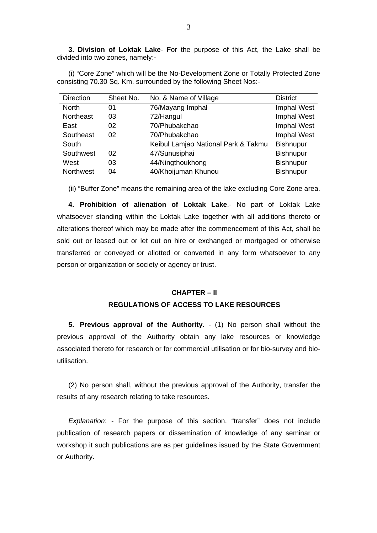**3. Division of Loktak Lake**- For the purpose of this Act, the Lake shall be divided into two zones, namely:-

(i) "Core Zone" which will be the No-Development Zone or Totally Protected Zone consisting 70.30 Sq. Km. surrounded by the following Sheet Nos:-

| <b>Direction</b> | Sheet No. | No. & Name of Village               | <b>District</b>  |
|------------------|-----------|-------------------------------------|------------------|
| <b>North</b>     | 01        | 76/Mayang Imphal                    | Imphal West      |
| Northeast        | 03        | 72/Hangul                           | Imphal West      |
| East             | 02        | 70/Phubakchao                       | Imphal West      |
| Southeast        | 02        | 70/Phubakchao                       | Imphal West      |
| South            |           | Keibul Lamjao National Park & Takmu | <b>Bishnupur</b> |
| Southwest        | 02        | 47/Sunusiphai                       | <b>Bishnupur</b> |
| West             | 03        | 44/Ningthoukhong                    | <b>Bishnupur</b> |
| Northwest        | 04        | 40/Khoijuman Khunou                 | <b>Bishnupur</b> |

(ii) "Buffer Zone" means the remaining area of the lake excluding Core Zone area.

**4. Prohibition of alienation of Loktak Lake**.- No part of Loktak Lake whatsoever standing within the Loktak Lake together with all additions thereto or alterations thereof which may be made after the commencement of this Act, shall be sold out or leased out or let out on hire or exchanged or mortgaged or otherwise transferred or conveyed or allotted or converted in any form whatsoever to any person or organization or society or agency or trust.

#### **CHAPTER – II**

## **REGULATIONS OF ACCESS TO LAKE RESOURCES**

**5. Previous approval of the Authority**. - (1) No person shall without the previous approval of the Authority obtain any lake resources or knowledge associated thereto for research or for commercial utilisation or for bio-survey and bioutilisation.

(2) No person shall, without the previous approval of the Authority, transfer the results of any research relating to take resources.

*Explanation*: - For the purpose of this section, "transfer" does not include publication of research papers or dissemination of knowledge of any seminar or workshop it such publications are as per guidelines issued by the State Government or Authority.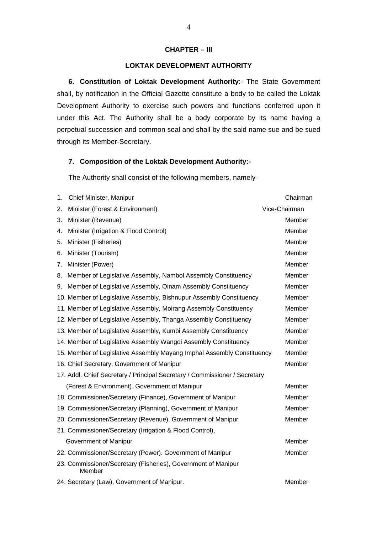## **CHAPTER – III**

## **LOKTAK DEVELOPMENT AUTHORITY**

**6. Constitution of Loktak Development Authority**:- The State Government shall, by notification in the Official Gazette constitute a body to be called the Loktak Development Authority to exercise such powers and functions conferred upon it under this Act. The Authority shall be a body corporate by its name having a perpetual succession and common seal and shall by the said name sue and be sued through its Member-Secretary.

#### **7. Composition of the Loktak Development Authority:-**

The Authority shall consist of the following members, namely-

| 1. | Chief Minister, Manipur                                                    | Chairman      |
|----|----------------------------------------------------------------------------|---------------|
| 2. | Minister (Forest & Environment)                                            | Vice-Chairman |
| 3. | Minister (Revenue)                                                         | Member        |
| 4. | Minister (Irrigation & Flood Control)                                      | Member        |
| 5. | Minister (Fisheries)                                                       | Member        |
| 6. | Minister (Tourism)                                                         | Member        |
| 7. | Minister (Power)                                                           | Member        |
| 8. | Member of Legislative Assembly, Nambol Assembly Constituency               | Member        |
| 9. | Member of Legislative Assembly, Oinam Assembly Constituency                | Member        |
|    | 10. Member of Legislative Assembly, Bishnupur Assembly Constituency        | Member        |
|    | 11. Member of Legislative Assembly, Moirang Assembly Constituency          | Member        |
|    | 12. Member of Legislative Assembly, Thanga Assembly Constituency           | Member        |
|    | 13. Member of Legislative Assembly, Kumbi Assembly Constituency            | Member        |
|    | 14. Member of Legislative Assembly Wangoi Assembly Constituency            | Member        |
|    | 15. Member of Legislative Assembly Mayang Imphal Assembly Constituency     | Member        |
|    | 16. Chief Secretary, Government of Manipur                                 | Member        |
|    | 17. Addl. Chief Secretary / Principal Secretary / Commissioner / Secretary |               |
|    | (Forest & Environment). Government of Manipur                              | Member        |
|    | 18. Commissioner/Secretary (Finance), Government of Manipur                | Member        |
|    | 19. Commissioner/Secretary (Planning), Government of Manipur               | Member        |
|    | 20. Commissioner/Secretary (Revenue), Government of Manipur                | Member        |
|    | 21. Commissioner/Secretary (Irrigation & Flood Control),                   |               |
|    | Government of Manipur                                                      | Member        |
|    | 22. Commissioner/Secretary (Power). Government of Manipur                  | Member        |
|    | 23. Commissioner/Secretary (Fisheries), Government of Manipur<br>Member    |               |
|    | 24. Secretary (Law), Government of Manipur.                                | Member        |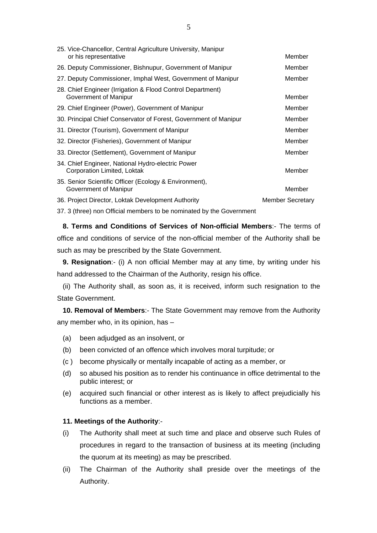| 25. Vice-Chancellor, Central Agriculture University, Manipur<br>or his representative | Member                  |
|---------------------------------------------------------------------------------------|-------------------------|
| 26. Deputy Commissioner, Bishnupur, Government of Manipur                             | Member                  |
| 27. Deputy Commissioner, Imphal West, Government of Manipur                           | Member                  |
| 28. Chief Engineer (Irrigation & Flood Control Department)<br>Government of Manipur   | Member                  |
| 29. Chief Engineer (Power), Government of Manipur                                     | Member                  |
| 30. Principal Chief Conservator of Forest, Government of Manipur                      | Member                  |
| 31. Director (Tourism), Government of Manipur                                         | Member                  |
| 32. Director (Fisheries), Government of Manipur                                       | Member                  |
| 33. Director (Settlement), Government of Manipur                                      | Member                  |
| 34. Chief Engineer, National Hydro-electric Power<br>Corporation Limited, Loktak      | Member                  |
| 35. Senior Scientific Officer (Ecology & Environment),<br>Government of Manipur       | Member                  |
| 36. Project Director, Loktak Development Authority                                    | <b>Member Secretary</b> |

37. 3 (three) non Official members to be nominated by the Government

 **8. Terms and Conditions of Services of Non-official Members**:- The terms of office and conditions of service of the non-official member of the Authority shall be such as may be prescribed by the State Government.

**9. Resignation**:- (i) A non official Member may at any time, by writing under his hand addressed to the Chairman of the Authority, resign his office.

 (ii) The Authority shall, as soon as, it is received, inform such resignation to the State Government.

**10. Removal of Members**:- The State Government may remove from the Authority any member who, in its opinion, has –

- (a) been adjudged as an insolvent, or
- (b) been convicted of an offence which involves moral turpitude; or
- (c ) become physically or mentally incapable of acting as a member, or
- (d) so abused his position as to render his continuance in office detrimental to the public interest; or
- (e) acquired such financial or other interest as is likely to affect prejudicially his functions as a member.

## **11. Meetings of the Authority**:-

- (i) The Authority shall meet at such time and place and observe such Rules of procedures in regard to the transaction of business at its meeting (including the quorum at its meeting) as may be prescribed.
- (ii) The Chairman of the Authority shall preside over the meetings of the Authority.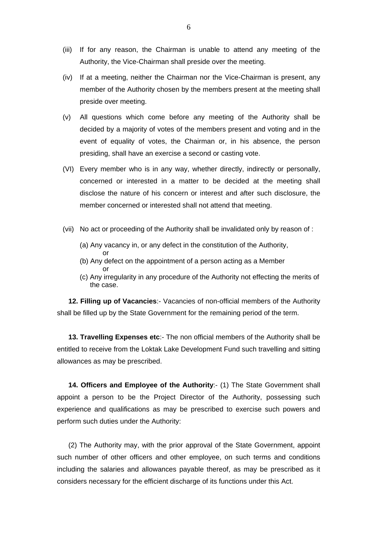- (iii) If for any reason, the Chairman is unable to attend any meeting of the Authority, the Vice-Chairman shall preside over the meeting.
- (iv) If at a meeting, neither the Chairman nor the Vice-Chairman is present, any member of the Authority chosen by the members present at the meeting shall preside over meeting.
- (v) All questions which come before any meeting of the Authority shall be decided by a majority of votes of the members present and voting and in the event of equality of votes, the Chairman or, in his absence, the person presiding, shall have an exercise a second or casting vote.
- (VI) Every member who is in any way, whether directly, indirectly or personally, concerned or interested in a matter to be decided at the meeting shall disclose the nature of his concern or interest and after such disclosure, the member concerned or interested shall not attend that meeting.
- (vii) No act or proceeding of the Authority shall be invalidated only by reason of :
	- (a) Any vacancy in, or any defect in the constitution of the Authority,
- or (b) Any defect on the appointment of a person acting as a Member **or** or
	- (c) Any irregularity in any procedure of the Authority not effecting the merits of the case.

**12. Filling up of Vacancies**:- Vacancies of non-official members of the Authority shall be filled up by the State Government for the remaining period of the term.

**13. Travelling Expenses etc**:- The non official members of the Authority shall be entitled to receive from the Loktak Lake Development Fund such travelling and sitting allowances as may be prescribed.

**14. Officers and Employee of the Authority**:- (1) The State Government shall appoint a person to be the Project Director of the Authority, possessing such experience and qualifications as may be prescribed to exercise such powers and perform such duties under the Authority:

(2) The Authority may, with the prior approval of the State Government, appoint such number of other officers and other employee, on such terms and conditions including the salaries and allowances payable thereof, as may be prescribed as it considers necessary for the efficient discharge of its functions under this Act.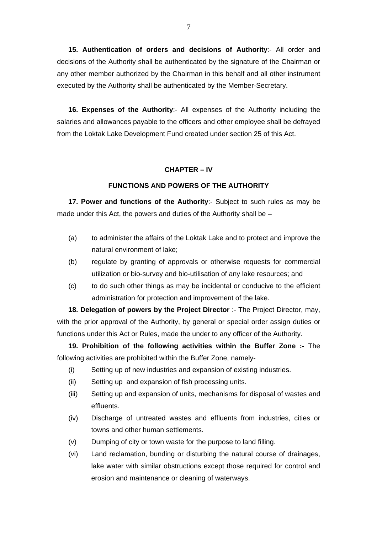**15. Authentication of orders and decisions of Authority**:- All order and decisions of the Authority shall be authenticated by the signature of the Chairman or any other member authorized by the Chairman in this behalf and all other instrument executed by the Authority shall be authenticated by the Member-Secretary.

**16. Expenses of the Authority**:- All expenses of the Authority including the salaries and allowances payable to the officers and other employee shall be defrayed from the Loktak Lake Development Fund created under section 25 of this Act.

## **CHAPTER – IV**

## **FUNCTIONS AND POWERS OF THE AUTHORITY**

**17. Power and functions of the Authority**:- Subject to such rules as may be made under this Act, the powers and duties of the Authority shall be –

- (a) to administer the affairs of the Loktak Lake and to protect and improve the natural environment of lake;
- (b) regulate by granting of approvals or otherwise requests for commercial utilization or bio-survey and bio-utilisation of any lake resources; and
- (c) to do such other things as may be incidental or conducive to the efficient administration for protection and improvement of the lake.

**18. Delegation of powers by the Project Director** :- The Project Director, may, with the prior approval of the Authority, by general or special order assign duties or functions under this Act or Rules, made the under to any officer of the Authority.

**19. Prohibition of the following activities within the Buffer Zone :-** The following activities are prohibited within the Buffer Zone, namely-

- (i) Setting up of new industries and expansion of existing industries.
- (ii) Setting up and expansion of fish processing units.
- (iii) Setting up and expansion of units, mechanisms for disposal of wastes and effluents.
- (iv) Discharge of untreated wastes and effluents from industries, cities or towns and other human settlements.
- (v) Dumping of city or town waste for the purpose to land filling.
- (vi) Land reclamation, bunding or disturbing the natural course of drainages, lake water with similar obstructions except those required for control and erosion and maintenance or cleaning of waterways.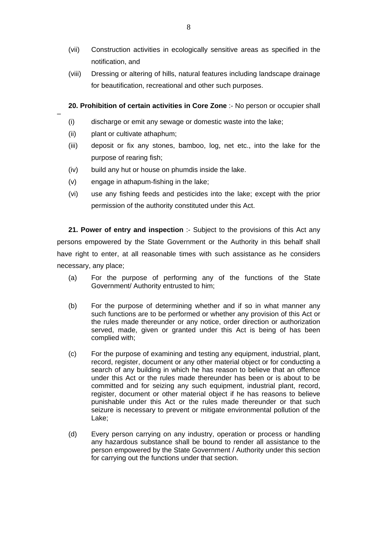- (vii) Construction activities in ecologically sensitive areas as specified in the notification, and
- (viii) Dressing or altering of hills, natural features including landscape drainage for beautification, recreational and other such purposes.

**20. Prohibition of certain activities in Core Zone** :- No person or occupier shall

- (i) discharge or emit any sewage or domestic waste into the lake;
- (ii) plant or cultivate athaphum;

–

- (iii) deposit or fix any stones, bamboo, log, net etc., into the lake for the purpose of rearing fish;
- (iv) build any hut or house on phumdis inside the lake.
- (v) engage in athapum-fishing in the lake;
- (vi) use any fishing feeds and pesticides into the lake; except with the prior permission of the authority constituted under this Act.

**21. Power of entry and inspection :-** Subject to the provisions of this Act any persons empowered by the State Government or the Authority in this behalf shall have right to enter, at all reasonable times with such assistance as he considers necessary, any place;

- (a) For the purpose of performing any of the functions of the State Government/ Authority entrusted to him;
- (b) For the purpose of determining whether and if so in what manner any such functions are to be performed or whether any provision of this Act or the rules made thereunder or any notice, order direction or authorization served, made, given or granted under this Act is being of has been complied with;
- (c) For the purpose of examining and testing any equipment, industrial, plant, record, register, document or any other material object or for conducting a search of any building in which he has reason to believe that an offence under this Act or the rules made thereunder has been or is about to be committed and for seizing any such equipment, industrial plant, record, register, document or other material object if he has reasons to believe punishable under this Act or the rules made thereunder or that such seizure is necessary to prevent or mitigate environmental pollution of the Lake;
- (d) Every person carrying on any industry, operation or process or handling any hazardous substance shall be bound to render all assistance to the person empowered by the State Government / Authority under this section for carrying out the functions under that section.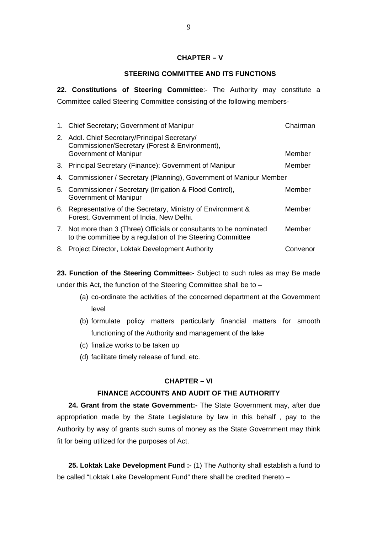## **CHAPTER – V**

## **STEERING COMMITTEE AND ITS FUNCTIONS**

**22. Constitutions of Steering Committee**:- The Authority may constitute a Committee called Steering Committee consisting of the following members-

| 1. Chief Secretary; Government of Manipur                                                                                         | Chairman |
|-----------------------------------------------------------------------------------------------------------------------------------|----------|
| 2. Addl. Chief Secretary/Principal Secretary/<br>Commissioner/Secretary (Forest & Environment),<br>Government of Manipur          | Member   |
| 3. Principal Secretary (Finance): Government of Manipur                                                                           | Member   |
| 4. Commissioner / Secretary (Planning), Government of Manipur Member                                                              |          |
| 5. Commissioner / Secretary (Irrigation & Flood Control),<br>Government of Manipur                                                | Member   |
| 6. Representative of the Secretary, Ministry of Environment &<br>Forest, Government of India, New Delhi.                          | Member   |
| 7. Not more than 3 (Three) Officials or consultants to be nominated<br>to the committee by a regulation of the Steering Committee | Member   |
| 8. Project Director, Loktak Development Authority                                                                                 | Convenor |

**23. Function of the Steering Committee:-** Subject to such rules as may Be made

under this Act, the function of the Steering Committee shall be to –

- (a) co-ordinate the activities of the concerned department at the Government level
- (b) formulate policy matters particularly financial matters for smooth functioning of the Authority and management of the lake
- (c) finalize works to be taken up
- (d) facilitate timely release of fund, etc.

# **CHAPTER – VI**

# **FINANCE ACCOUNTS AND AUDIT OF THE AUTHORITY**

 **24. Grant from the state Government:-** The State Government may, after due appropriation made by the State Legislature by law in this behalf , pay to the Authority by way of grants such sums of money as the State Government may think fit for being utilized for the purposes of Act.

**25. Loktak Lake Development Fund :-** (1) The Authority shall establish a fund to be called "Loktak Lake Development Fund" there shall be credited thereto –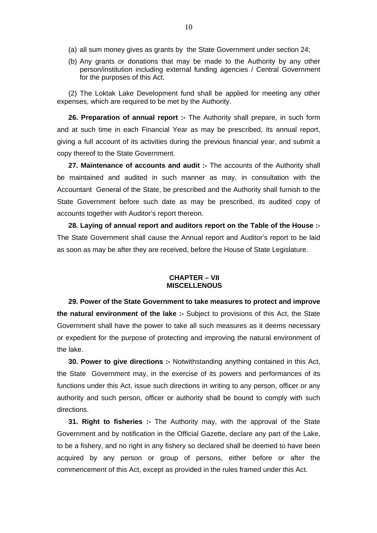- (a) all sum money gives as grants by the State Government under section 24;
- (b) Any grants or donations that may be made to the Authority by any other person/institution including external funding agencies / Central Government for the purposes of this Act.

(2) The Loktak Lake Development fund shall be applied for meeting any other expenses, which are required to be met by the Authority.

**26. Preparation of annual report :-** The Authority shall prepare, in such form and at such time in each Financial Year as may be prescribed, its annual report, giving a full account of its activities during the previous financial year, and submit a copy thereof to the State Government.

**27. Maintenance of accounts and audit :-** The accounts of the Authority shall be maintained and audited in such manner as may, in consultation with the Accountant General of the State, be prescribed and the Authority shall furnish to the State Government before such date as may be prescribed, its audited copy of accounts together with Auditor's report thereon.

**28. Laying of annual report and auditors report on the Table of the House :-** The State Government shall cause the Annual report and Auditor's report to be laid as soon as may be after they are received, before the House of State Legislature.

#### **CHAPTER – VII MISCELLENOUS**

**29. Power of the State Government to take measures to protect and improve the natural environment of the lake :-** Subject to provisions of this Act, the State Government shall have the power to take all such measures as it deems necessary or expedient for the purpose of protecting and improving the natural environment of the lake.

**30. Power to give directions :-** Notwithstanding anything contained in this Act, the State Government may, in the exercise of its powers and performances of its functions under this Act, issue such directions in writing to any person, officer or any authority and such person, officer or authority shall be bound to comply with such directions.

**31. Right to fisheries :-** The Authority may, with the approval of the State Government and by notification in the Official Gazette, declare any part of the Lake, to be a fishery, and no right in any fishery so declared shall be deemed to have been acquired by any person or group of persons, either before or after the commencement of this Act, except as provided in the rules framed under this Act.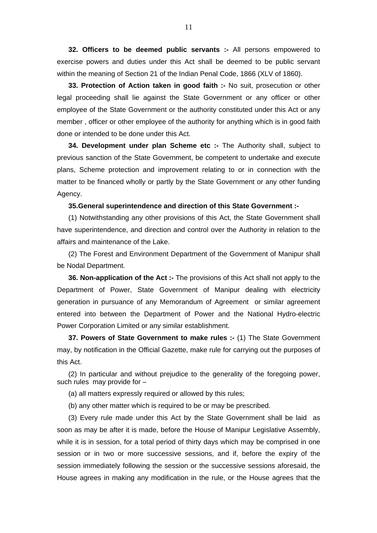**32. Officers to be deemed public servants :-** All persons empowered to exercise powers and duties under this Act shall be deemed to be public servant within the meaning of Section 21 of the Indian Penal Code, 1866 (XLV of 1860).

**33. Protection of Action taken in good faith :-** No suit, prosecution or other legal proceeding shall lie against the State Government or any officer or other employee of the State Government or the authority constituted under this Act or any member , officer or other employee of the authority for anything which is in good faith done or intended to be done under this Act.

**34. Development under plan Scheme etc :-** The Authority shall, subject to previous sanction of the State Government, be competent to undertake and execute plans, Scheme protection and improvement relating to or in connection with the matter to be financed wholly or partly by the State Government or any other funding Agency.

#### **35.General superintendence and direction of this State Government :-**

(1) Notwithstanding any other provisions of this Act, the State Government shall have superintendence, and direction and control over the Authority in relation to the affairs and maintenance of the Lake.

(2) The Forest and Environment Department of the Government of Manipur shall be Nodal Department.

**36. Non-application of the Act :-** The provisions of this Act shall not apply to the Department of Power, State Government of Manipur dealing with electricity generation in pursuance of any Memorandum of Agreement or similar agreement entered into between the Department of Power and the National Hydro-electric Power Corporation Limited or any similar establishment.

**37. Powers of State Government to make rules :-** (1) The State Government may, by notification in the Official Gazette, make rule for carrying out the purposes of this Act.

(2) In particular and without prejudice to the generality of the foregoing power, such rules may provide for –

(a) all matters expressly required or allowed by this rules;

(b) any other matter which is required to be or may be prescribed.

(3) Every rule made under this Act by the State Government shall be laid as soon as may be after it is made, before the House of Manipur Legislative Assembly, while it is in session, for a total period of thirty days which may be comprised in one session or in two or more successive sessions, and if, before the expiry of the session immediately following the session or the successive sessions aforesaid, the House agrees in making any modification in the rule, or the House agrees that the